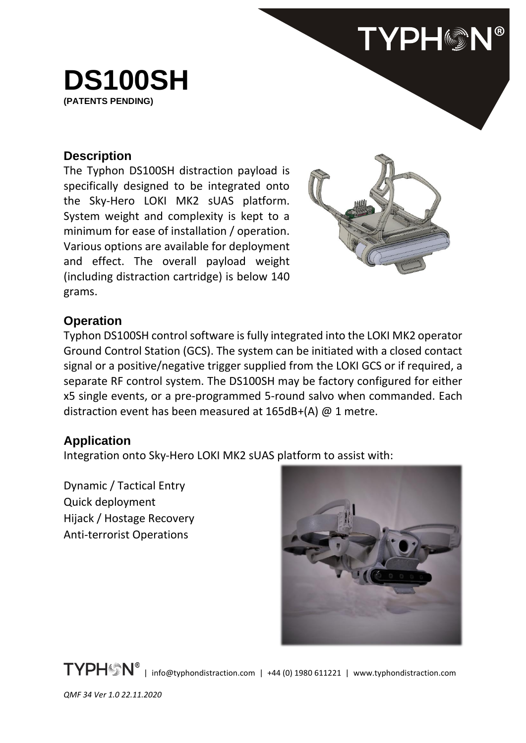

## **Description**

The Typhon DS100SH distraction payload is specifically designed to be integrated onto the Sky-Hero LOKI MK2 sUAS platform. System weight and complexity is kept to a minimum for ease of installation / operation. Various options are available for deployment and effect. The overall payload weight (including distraction cartridge) is below 140 grams.



**TYPHON®** 

## **Operation**

Typhon DS100SH control software is fully integrated into the LOKI MK2 operator Ground Control Station (GCS). The system can be initiated with a closed contact signal or a positive/negative trigger supplied from the LOKI GCS or if required, a separate RF control system. The DS100SH may be factory configured for either x5 single events, or a pre-programmed 5-round salvo when commanded. Each distraction event has been measured at 165dB+(A) @ 1 metre.

## **Application**

Integration onto Sky-Hero LOKI MK2 sUAS platform to assist with:

Dynamic / Tactical Entry Quick deployment Hijack / Hostage Recovery Anti-terrorist Operations



TYPH<sup>®</sup> | info@typhondistraction.com | +44 (0) 1980 611221 | www.typhondistraction.com